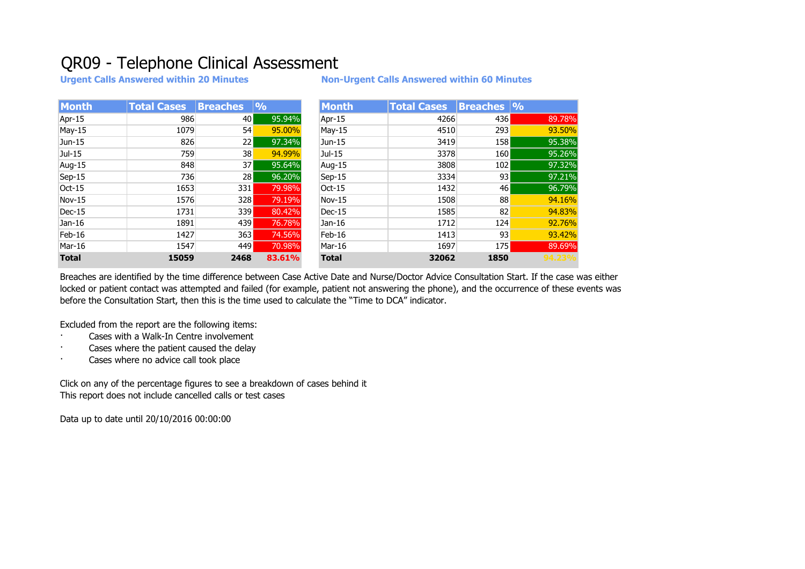## QR09 - Telephone Clinical Assessment

**Urgent Calls Answered within 20 Minutes Non-Urgent Calls Answered within 60 Minutes**

| <b>Month</b> | <b>Total Cases</b> | <b>Breaches</b> | $  \mathbf{0}/_{\mathbf{0}}$ | <b>Month</b> | <b>Total Cases</b> | <b>Breaches</b> % |
|--------------|--------------------|-----------------|------------------------------|--------------|--------------------|-------------------|
| Apr-15       | 986                | 40 l            | 95.94%                       | Apr-15       | 4266               | 436               |
| May-15       | 1079               | 54              | 95.00%                       | May-15       | 4510               | 293               |
| Jun-15       | 826                | 22 <sub>1</sub> | 97.34%                       | Jun-15       | 3419               | 158               |
| $Jul-15$     | 759                | 38              | 94.99%                       | Jul-15       | 3378               | 160               |
| Aug-15       | 848                | 37              | 95.64%                       | Aug-15       | 3808               | 102               |
| $Sep-15$     | 736                | 28              | 96.20%                       | Sep-15       | 3334               | 93                |
| $Oct-15$     | 1653               | 331             | 79.98%                       | $Oct-15$     | 1432               | 46 l              |
| $Nov-15$     | 1576               | 328             | 79.19%                       | Nov-15       | 1508               | 88                |
| Dec-15       | 1731               | 339             | 80.42%                       | $Dec-15$     | 1585               | 82                |
| Jan-16       | 1891               | 439             | 76.78%                       | Jan-16       | 1712               | 124               |
| Feb-16       | 1427               | 363             | 74.56%                       | Feb-16       | 1413               | 93                |
| Mar-16       | 1547               | 449             | 70.98%                       | Mar-16       | 1697               | 175               |
| <b>Total</b> | 15059              | 2468            | 83.61%                       | <b>Total</b> | 32062              | 1850              |

Breaches are identified by the time difference between Case Active Date and Nurse/Doctor Advice Consultation Start. If the case was either locked or patient contact was attempted and failed (for example, patient not answering the phone), and the occurrence of these events was before the Consultation Start, then this is the time used to calculate the "Time to DCA" indicator.

Excluded from the report are the following items:

- Cases with a Walk-In Centre involvement
- Cases where the patient caused the delay
- Cases where no advice call took place

Click on any of the percentage figures to see a breakdown of cases behind it This report does not include cancelled calls or test cases

Data up to date until 20/10/2016 00:00:00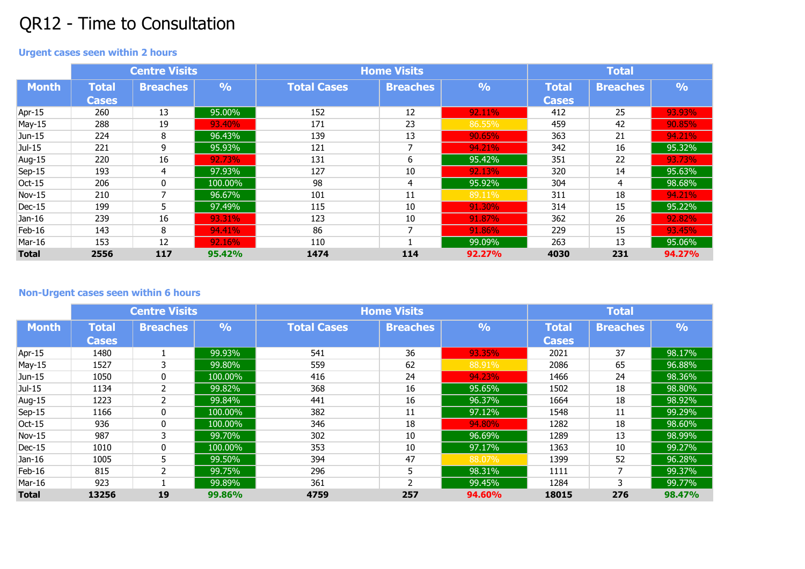## QR12 - Time to Consultation

## **Urgent cases seen within 2 hours**

|              | <b>Centre Visits</b> |                 |               | <b>Home Visits</b> | <b>Total</b>    |               |              |                 |               |
|--------------|----------------------|-----------------|---------------|--------------------|-----------------|---------------|--------------|-----------------|---------------|
| <b>Month</b> | <b>Total</b>         | <b>Breaches</b> | $\frac{0}{0}$ | <b>Total Cases</b> | <b>Breaches</b> | $\frac{0}{0}$ | <b>Total</b> | <b>Breaches</b> | $\frac{9}{6}$ |
|              | <b>Cases</b>         |                 |               |                    |                 |               | <b>Cases</b> |                 |               |
| Apr-15       | 260                  | 13              | 95.00%        | 152                | 12              | 92.11%        | 412          | 25              | 93.93%        |
| May-15       | 288                  | 19              | 93.40%        | 171                | 23              | 86.55%        | 459          | 42              | 90.85%        |
| $Jun-15$     | 224                  | 8               | 96.43%        | 139                | 13              | 90.65%        | 363          | 21              | 94.21%        |
| $Jul-15$     | 221                  | 9               | 95.93%        | 121                | 7               | 94.21%        | 342          | 16              | 95.32%        |
| Aug-15       | 220                  | 16              | 92.73%        | 131                | 6               | 95.42%        | 351          | 22              | 93.73%        |
| Sep-15       | 193                  | 4               | 97.93%        | 127                | 10              | 92.13%        | 320          | 14              | 95.63%        |
| $Oct-15$     | 206                  | 0               | 100.00%       | 98                 | 4               | 95.92%        | 304          | 4               | 98.68%        |
| Nov-15       | 210                  |                 | 96.67%        | 101                | 11              | 89.11%        | 311          | 18              | 94.21%        |
| Dec-15       | 199                  | 5.              | 97.49%        | 115                | 10              | 91.30%        | 314          | 15              | 95.22%        |
| Jan-16       | 239                  | 16              | 93.31%        | 123                | 10              | 91.87%        | 362          | 26              | 92.82%        |
| Feb-16       | 143                  | 8               | 94.41%        | 86                 | 7               | 91.86%        | 229          | 15              | 93.45%        |
| Mar-16       | 153                  | 12              | 92.16%        | 110                |                 | 99.09%        | 263          | 13              | 95.06%        |
| <b>Total</b> | 2556                 | 117             | 95.42%        | 1474               | 114             | 92.27%        | 4030         | 231             | 94.27%        |

## **Non-Urgent cases seen within 6 hours**

|              | <b>Centre Visits</b> |                 |               | <b>Home Visits</b> | <b>Total</b>    |               |              |                 |             |
|--------------|----------------------|-----------------|---------------|--------------------|-----------------|---------------|--------------|-----------------|-------------|
| <b>Month</b> | <b>Total</b>         | <b>Breaches</b> | $\frac{0}{0}$ | <b>Total Cases</b> | <b>Breaches</b> | $\frac{0}{0}$ | <b>Total</b> | <b>Breaches</b> | $ 0\rangle$ |
|              | <b>Cases</b>         |                 |               |                    |                 |               | <b>Cases</b> |                 |             |
| Apr-15       | 1480                 |                 | 99.93%        | 541                | 36              | 93.35%        | 2021         | 37              | 98.17%      |
| May-15       | 1527                 | 3               | 99.80%        | 559                | 62              | 88.91%        | 2086         | 65              | 96.88%      |
| $Jun-15$     | 1050                 | 0               | 100,00%       | 416                | 24              | 94.23%        | 1466         | 24              | 98.36%      |
| $Jul-15$     | 1134                 |                 | 99.82%        | 368                | 16              | 95.65%        | 1502         | 18              | 98.80%      |
| Aug-15       | 1223                 |                 | 99.84%        | 441                | 16              | 96.37%        | 1664         | 18              | 98.92%      |
| $Sep-15$     | 1166                 | $\Omega$        | 100.00%       | 382                | 11              | 97.12%        | 1548         | 11              | 99.29%      |
| Oct-15       | 936                  | $\mathbf{0}$    | 100,00%       | 346                | 18              | 94.80%        | 1282         | 18              | 98.60%      |
| Nov-15       | 987                  | 3               | 99.70%        | 302                | 10              | 96.69%        | 1289         | 13              | 98.99%      |
| $Dec-15$     | 1010                 | $\Omega$        | 100,00%       | 353                | 10              | 97.17%        | 1363         | 10              | 99.27%      |
| $Jan-16$     | 1005                 |                 | 99.50%        | 394                | 47              | 88,07%        | 1399         | 52              | 96.28%      |
| Feb-16       | 815                  |                 | 99.75%        | 296                | 5               | 98.31%        | 1111         |                 | 99.37%      |
| Mar-16       | 923                  |                 | 99.89%        | 361                | C.              | 99.45%        | 1284         | З               | 99.77%      |
| <b>Total</b> | 13256                | 19              | 99.86%        | 4759               | 257             | 94.60%        | 18015        | 276             | 98.47%      |